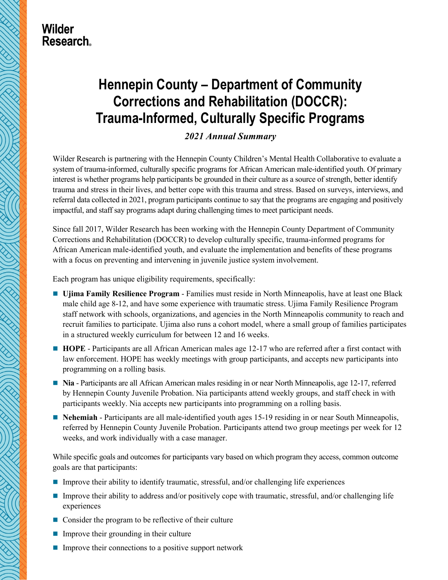

## **Wilder Research**

# **Hennepin County – Department of Community Corrections and Rehabilitation (DOCCR): Trauma-Informed, Culturally Specific Programs**

## *2021 Annual Summary*

Wilder Research is partnering with the Hennepin County Children's Mental Health Collaborative to evaluate a system of trauma-informed, culturally specific programs for African American male-identified youth. Of primary interest is whether programs help participants be grounded in their culture as a source of strength, better identify trauma and stress in their lives, and better cope with this trauma and stress. Based on surveys, interviews, and referral data collected in 2021, program participants continue to say that the programs are engaging and positively impactful, and staff say programs adapt during challenging times to meet participant needs.

Since fall 2017, Wilder Research has been working with the Hennepin County Department of Community Corrections and Rehabilitation (DOCCR) to develop culturally specific, trauma-informed programs for African American male-identified youth, and evaluate the implementation and benefits of these programs with a focus on preventing and intervening in juvenile justice system involvement.

Each program has unique eligibility requirements, specifically:

- **Ujima Family Resilience Program**  Families must reside in North Minneapolis, have at least one Black male child age 8-12, and have some experience with traumatic stress. Ujima Family Resilience Program staff network with schools, organizations, and agencies in the North Minneapolis community to reach and recruit families to participate. Ujima also runs a cohort model, where a small group of families participates in a structured weekly curriculum for between 12 and 16 weeks.
- **HOPE** Participants are all African American males age 12-17 who are referred after a first contact with law enforcement. HOPE has weekly meetings with group participants, and accepts new participants into programming on a rolling basis.
- **Nia** Participants are all African American males residing in or near North Minneapolis, age 12-17, referred by Hennepin County Juvenile Probation. Nia participants attend weekly groups, and staff check in with participants weekly. Nia accepts new participants into programming on a rolling basis.
- **Nehemiah** Participants are all male-identified youth ages 15-19 residing in or near South Minneapolis, referred by Hennepin County Juvenile Probation. Participants attend two group meetings per week for 12 weeks, and work individually with a case manager.

While specific goals and outcomes for participants vary based on which program they access, common outcome goals are that participants:

- Improve their ability to identify traumatic, stressful, and/or challenging life experiences
- Improve their ability to address and/or positively cope with traumatic, stressful, and/or challenging life experiences
- Consider the program to be reflective of their culture
- $\blacksquare$  Improve their grounding in their culture
- $\blacksquare$  Improve their connections to a positive support network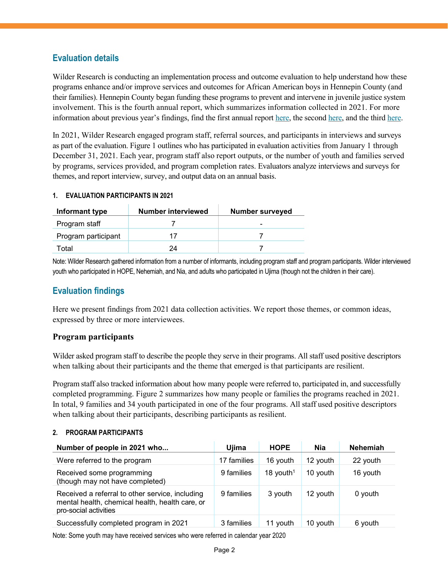## **Evaluation details**

Wilder Research is conducting an implementation process and outcome evaluation to help understand how these programs enhance and/or improve services and outcomes for African American boys in Hennepin County (and their families). Hennepin County began funding these programs to prevent and intervene in juvenile justice system involvement. This is the fourth annual report, which summarizes information collected in 2021. For more information about previous year's findings, find the first annual repor[t here,](https://www.wilder.org/sites/default/files/imports/HCCMHC_Summer2019_Summary_8-19.pdf) the second [here,](https://www.wilder.org/sites/default/files/imports/HCCMHC_2019_Annual_Summary_6-20.pdf) and the thir[d here.](https://www.wilder.org/sites/default/files/imports/HCCMHC_Summary_5-21.pdf)

In 2021, Wilder Research engaged program staff, referral sources, and participants in interviews and surveys as part of the evaluation. Figure 1 outlines who has participated in evaluation activities from January 1 through December 31, 2021. Each year, program staff also report outputs, or the number of youth and families served by programs, services provided, and program completion rates. Evaluators analyze interviews and surveys for themes, and report interview, survey, and output data on an annual basis.

#### **1. EVALUATION PARTICIPANTS IN 2021**

| Informant type      | Number interviewed | <b>Number surveyed</b> |
|---------------------|--------------------|------------------------|
| Program staff       |                    | -                      |
| Program participant |                    |                        |
| Total               | 24                 |                        |

Note: Wilder Research gathered information from a number of informants, including program staff and program participants. Wilder interviewed youth who participated in HOPE, Nehemiah, and Nia, and adults who participated in Ujima (though not the children in their care).

## **Evaluation findings**

Here we present findings from 2021 data collection activities. We report those themes, or common ideas, expressed by three or more interviewees.

#### **Program participants**

Wilder asked program staff to describe the people they serve in their programs. All staff used positive descriptors when talking about their participants and the theme that emerged is that participants are resilient.

Program staff also tracked information about how many people were referred to, participated in, and successfully completed programming. Figure 2 summarizes how many people or families the programs reached in 2021. In total, 9 families and 34 youth participated in one of the four programs. All staff used positive descriptors when talking about their participants, describing participants as resilient.

#### **2. PROGRAM PARTICIPANTS**

| Number of people in 2021 who                                                                                                | Ujima       | <b>HOPE</b>           | Nia      | <b>Nehemiah</b> |
|-----------------------------------------------------------------------------------------------------------------------------|-------------|-----------------------|----------|-----------------|
| Were referred to the program                                                                                                | 17 families | 16 youth              | 12 youth | 22 youth        |
| Received some programming<br>(though may not have completed)                                                                | 9 families  | 18 youth <sup>1</sup> | 10 youth | 16 youth        |
| Received a referral to other service, including<br>mental health, chemical health, health care, or<br>pro-social activities | 9 families  | 3 youth               | 12 youth | $0$ youth       |
| Successfully completed program in 2021                                                                                      | 3 families  | 11 vouth              | 10 youth | 6 youth         |

Note: Some youth may have received services who were referred in calendar year 2020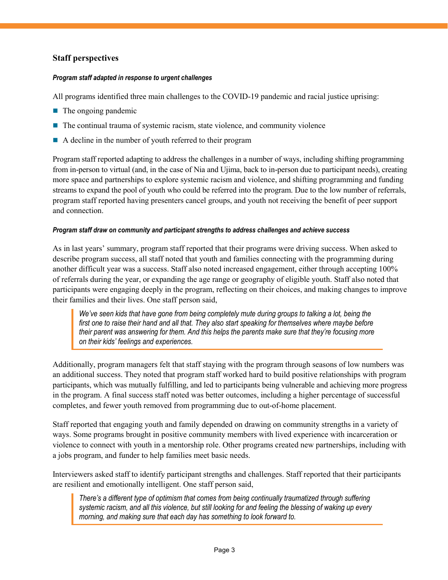## **Staff perspectives**

#### *Program staff adapted in response to urgent challenges*

All programs identified three main challenges to the COVID-19 pandemic and racial justice uprising:

- $\blacksquare$  The ongoing pandemic
- $\blacksquare$  The continual trauma of systemic racism, state violence, and community violence
- A decline in the number of youth referred to their program

Program staff reported adapting to address the challenges in a number of ways, including shifting programming from in-person to virtual (and, in the case of Nia and Ujima, back to in-person due to participant needs), creating more space and partnerships to explore systemic racism and violence, and shifting programming and funding streams to expand the pool of youth who could be referred into the program. Due to the low number of referrals, program staff reported having presenters cancel groups, and youth not receiving the benefit of peer support and connection.

#### *Program staff draw on community and participant strengths to address challenges and achieve success*

As in last years' summary, program staff reported that their programs were driving success. When asked to describe program success, all staff noted that youth and families connecting with the programming during another difficult year was a success. Staff also noted increased engagement, either through accepting 100% of referrals during the year, or expanding the age range or geography of eligible youth. Staff also noted that participants were engaging deeply in the program, reflecting on their choices, and making changes to improve their families and their lives. One staff person said,

*We've seen kids that have gone from being completely mute during groups to talking a lot, being the first one to raise their hand and all that. They also start speaking for themselves where maybe before their parent was answering for them. And this helps the parents make sure that they're focusing more on their kids' feelings and experiences.*

Additionally, program managers felt that staff staying with the program through seasons of low numbers was an additional success. They noted that program staff worked hard to build positive relationships with program participants, which was mutually fulfilling, and led to participants being vulnerable and achieving more progress in the program. A final success staff noted was better outcomes, including a higher percentage of successful completes, and fewer youth removed from programming due to out-of-home placement.

Staff reported that engaging youth and family depended on drawing on community strengths in a variety of ways. Some programs brought in positive community members with lived experience with incarceration or violence to connect with youth in a mentorship role. Other programs created new partnerships, including with a jobs program, and funder to help families meet basic needs.

Interviewers asked staff to identify participant strengths and challenges. Staff reported that their participants are resilient and emotionally intelligent. One staff person said,

*There's a different type of optimism that comes from being continually traumatized through suffering systemic racism, and all this violence, but still looking for and feeling the blessing of waking up every morning, and making sure that each day has something to look forward to.*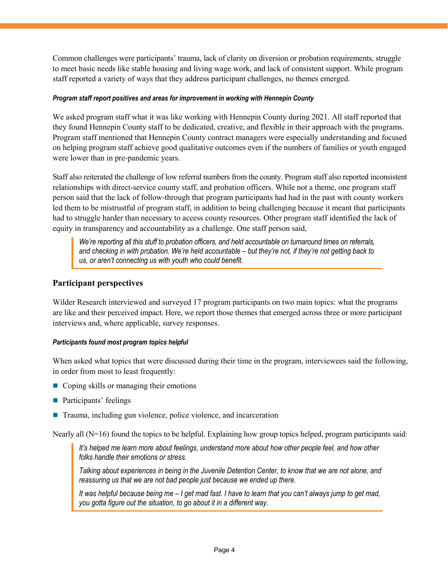Common challenges were participants' trauma, lack of clarity on diversion or probation requirements, struggle to meet basic needs like stable housing and living wage work, and lack of consistent support. While program staff reported a variety of ways that they address participant challenges, no themes emerged.

#### *Program staff report positives and areas for improvement in working with Hennepin County*

We asked program staff what it was like working with Hennepin County during 2021. All staff reported that they found Hennepin County staff to be dedicated, creative, and flexible in their approach with the programs. Program staff mentioned that Hennepin County contract managers were especially understanding and focused on helping program staff achieve good qualitative outcomes even if the numbers of families or youth engaged were lower than in pre-pandemic years.

Staff also reiterated the challenge of low referral numbers from the county. Program staff also reported inconsistent relationships with direct-service county staff, and probation officers. While not a theme, one program staff person said that the lack of follow-through that program participants had had in the past with county workers led them to be mistrustful of program staff, in addition to being challenging because it meant that participants had to struggle harder than necessary to access county resources. Other program staff identified the lack of equity in transparency and accountability as a challenge. One staff person said,

*We're reporting all this stuff to probation officers, and held accountable on turnaround times on referrals, and checking in with probation. We're held accountable – but they're not, if they're not getting back to us, or aren't connecting us with youth who could benefit.*

#### **Participant perspectives**

Wilder Research interviewed and surveyed 17 program participants on two main topics: what the programs are like and their perceived impact. Here, we report those themes that emerged across three or more participant interviews and, where applicable, survey responses.

#### *Participants found most program topics helpful*

When asked what topics that were discussed during their time in the program, interviewees said the following, in order from most to least frequently:

- Coping skills or managing their emotions
- **Participants' feelings**
- Trauma, including gun violence, police violence, and incarceration

Nearly all  $(N=16)$  found the topics to be helpful. Explaining how group topics helped, program participants said:

*It's helped me learn more about feelings, understand more about how other people feel, and how other folks handle their emotions or stress.*

*Talking about experiences in being in the Juvenile Detention Center, to know that we are not alone, and reassuring us that we are not bad people just because we ended up there.* 

*It was helpful because being me – I get mad fast. I have to learn that you can't always jump to get mad, you gotta figure out the situation, to go about it in a different way.*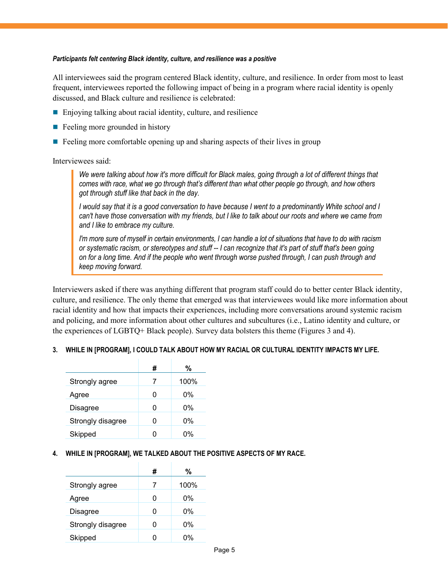#### *Participants felt centering Black identity, culture, and resilience was a positive*

All interviewees said the program centered Black identity, culture, and resilience. In order from most to least frequent, interviewees reported the following impact of being in a program where racial identity is openly discussed, and Black culture and resilience is celebrated:

- Enjoying talking about racial identity, culture, and resilience
- $\blacksquare$  Feeling more grounded in history
- $\blacksquare$  Feeling more comfortable opening up and sharing aspects of their lives in group

Interviewees said:

*We were talking about how it's more difficult for Black males, going through a lot of different things that comes with race, what we go through that's different than what other people go through, and how others got through stuff like that back in the day.* 

*I would say that it is a good conversation to have because I went to a predominantly White school and I can't have those conversation with my friends, but I like to talk about our roots and where we came from and I like to embrace my culture.*

*I'm more sure of myself in certain environments, I can handle a lot of situations that have to do with racism or systematic racism, or stereotypes and stuff -- I can recognize that it's part of stuff that's been going on for a long time. And if the people who went through worse pushed through, I can push through and keep moving forward.*

Interviewers asked if there was anything different that program staff could do to better center Black identity, culture, and resilience. The only theme that emerged was that interviewees would like more information about racial identity and how that impacts their experiences, including more conversations around systemic racism and policing, and more information about other cultures and subcultures (i.e., Latino identity and culture, or the experiences of LGBTQ+ Black people). Survey data bolsters this theme (Figures 3 and 4).

#### **3. WHILE IN [PROGRAM], I COULD TALK ABOUT HOW MY RACIAL OR CULTURAL IDENTITY IMPACTS MY LIFE.**

|                   | # | %     |
|-------------------|---|-------|
| Strongly agree    | 7 | 100%  |
| Agree             | 0 | $0\%$ |
| <b>Disagree</b>   | O | $0\%$ |
| Strongly disagree | 0 | 0%    |
| Skipped           | 0 | በ%    |

#### **4. WHILE IN [PROGRAM], WE TALKED ABOUT THE POSITIVE ASPECTS OF MY RACE.**

|                   | # | %     |
|-------------------|---|-------|
| Strongly agree    | 7 | 100%  |
| Agree             | O | 0%    |
| <b>Disagree</b>   | O | $0\%$ |
| Strongly disagree | O | 0%    |
| Skipped           |   | በ%    |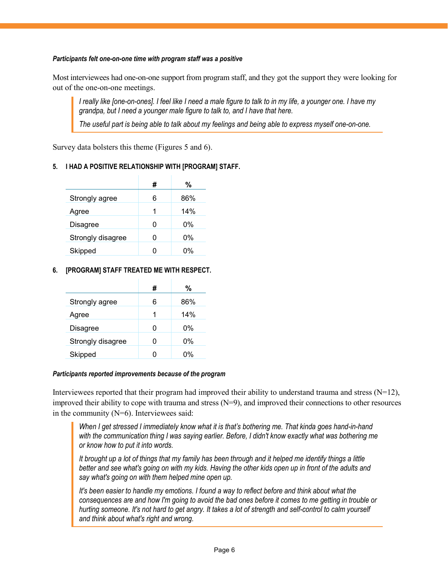#### *Participants felt one-on-one time with program staff was a positive*

Most interviewees had one-on-one support from program staff, and they got the support they were looking for out of the one-on-one meetings.

*I really like [one-on-ones]. I feel like I need a male figure to talk to in my life, a younger one. I have my grandpa, but I need a younger male figure to talk to, and I have that here.*

*The useful part is being able to talk about my feelings and being able to express myself one-on-one.*

Survey data bolsters this theme (Figures 5 and 6).

#### **5. I HAD A POSITIVE RELATIONSHIP WITH [PROGRAM] STAFF.**

|                   | # | ℅     |
|-------------------|---|-------|
| Strongly agree    | 6 | 86%   |
| Agree             | 1 | 14%   |
| <b>Disagree</b>   | O | $0\%$ |
| Strongly disagree | ი | $0\%$ |
| Skipped           |   | በ%    |

#### **6. [PROGRAM] STAFF TREATED ME WITH RESPECT.**

|                   | # | ℅     |
|-------------------|---|-------|
| Strongly agree    | 6 | 86%   |
| Agree             | 1 | 14%   |
| <b>Disagree</b>   | O | $0\%$ |
| Strongly disagree | ი | 0%    |
| Skipped           |   | በ%    |

#### *Participants reported improvements because of the program*

Interviewees reported that their program had improved their ability to understand trauma and stress  $(N=12)$ , improved their ability to cope with trauma and stress (N=9), and improved their connections to other resources in the community  $(N=6)$ . Interviewees said:

*When I get stressed I immediately know what it is that's bothering me. That kinda goes hand-in-hand with the communication thing I was saying earlier. Before, I didn't know exactly what was bothering me or know how to put it into words.*

*It brought up a lot of things that my family has been through and it helped me identify things a little*  better and see what's going on with my kids. Having the other kids open up in front of the adults and *say what's going on with them helped mine open up.*

*It's been easier to handle my emotions. I found a way to reflect before and think about what the consequences are and how I'm going to avoid the bad ones before it comes to me getting in trouble or hurting someone. It's not hard to get angry. It takes a lot of strength and self-control to calm yourself and think about what's right and wrong.*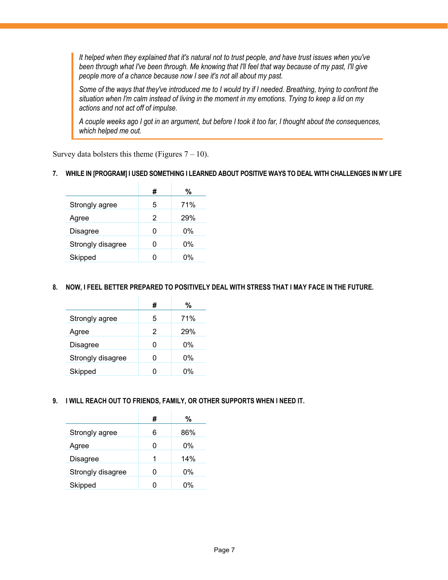*It helped when they explained that it's natural not to trust people, and have trust issues when you've been through what I've been through. Me knowing that I'll feel that way because of my past, I'll give people more of a chance because now I see it's not all about my past.*

*Some of the ways that they've introduced me to I would try if I needed. Breathing, trying to confront the situation when I'm calm instead of living in the moment in my emotions. Trying to keep a lid on my actions and not act off of impulse.*

*A couple weeks ago I got in an argument, but before I took it too far, I thought about the consequences, which helped me out.*

Survey data bolsters this theme (Figures  $7 - 10$ ).

#### **7. WHILE IN [PROGRAM] I USED SOMETHING I LEARNED ABOUT POSITIVE WAYS TO DEAL WITH CHALLENGES IN MY LIFE**

|                   | # | %     |
|-------------------|---|-------|
| Strongly agree    | 5 | 71%   |
| Agree             | 2 | 29%   |
| Disagree          |   | $0\%$ |
| Strongly disagree |   | 0%    |
| Skipped           |   | 0%    |

#### **8. NOW, I FEEL BETTER PREPARED TO POSITIVELY DEAL WITH STRESS THAT I MAY FACE IN THE FUTURE.**

|                   | # | %     |
|-------------------|---|-------|
| Strongly agree    | 5 | 71%   |
| Agree             | 2 | 29%   |
| Disagree          | ŋ | $0\%$ |
| Strongly disagree | ი | 0%    |
| Skipped           | 0 | 0%    |

**9. I WILL REACH OUT TO FRIENDS, FAMILY, OR OTHER SUPPORTS WHEN I NEED IT.**

|                   | # | %   |
|-------------------|---|-----|
| Strongly agree    | 6 | 86% |
| Agree             | O | 0%  |
| <b>Disagree</b>   | 1 | 14% |
| Strongly disagree | O | 0%  |
| Skipped           |   | በ%  |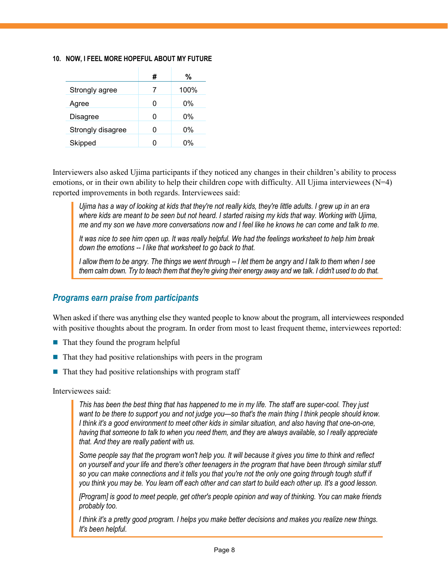#### **10. NOW, I FEEL MORE HOPEFUL ABOUT MY FUTURE**

|                   | # | ℅    |
|-------------------|---|------|
| Strongly agree    | 7 | 100% |
| Agree             |   | 0%   |
| <b>Disagree</b>   |   | 0%   |
| Strongly disagree |   | 0%   |
| Skipped           |   | በ%   |

Interviewers also asked Ujima participants if they noticed any changes in their children's ability to process emotions, or in their own ability to help their children cope with difficulty. All Ujima interviewees (N=4) reported improvements in both regards. Interviewees said:

*Ujima has a way of looking at kids that they're not really kids, they're little adults. I grew up in an era*  where kids are meant to be seen but not heard. I started raising my kids that way. Working with Ujima, *me and my son we have more conversations now and I feel like he knows he can come and talk to me.*

*It was nice to see him open up. It was really helpful. We had the feelings worksheet to help him break down the emotions -- I like that worksheet to go back to that.*

*I allow them to be angry. The things we went through -- I let them be angry and I talk to them when I see them calm down. Try to teach them that they're giving their energy away and we talk. I didn't used to do that.*

### *Programs earn praise from participants*

When asked if there was anything else they wanted people to know about the program, all interviewees responded with positive thoughts about the program. In order from most to least frequent theme, interviewees reported:

- $\blacksquare$  That they found the program helpful
- $\blacksquare$  That they had positive relationships with peers in the program
- $\blacksquare$  That they had positive relationships with program staff

Interviewees said:

*This has been the best thing that has happened to me in my life. The staff are super-cool. They just want to be there to support you and not judge you—so that's the main thing I think people should know. I think it's a good environment to meet other kids in similar situation, and also having that one-on-one, having that someone to talk to when you need them, and they are always available, so I really appreciate that. And they are really patient with us.*

*Some people say that the program won't help you. It will because it gives you time to think and reflect on yourself and your life and there's other teenagers in the program that have been through similar stuff*  so you can make connections and it tells you that you're not the only one going through tough stuff if *you think you may be. You learn off each other and can start to build each other up. It's a good lesson.*

*[Program] is good to meet people, get other's people opinion and way of thinking. You can make friends probably too.*

*I think it's a pretty good program. I helps you make better decisions and makes you realize new things. It's been helpful.*